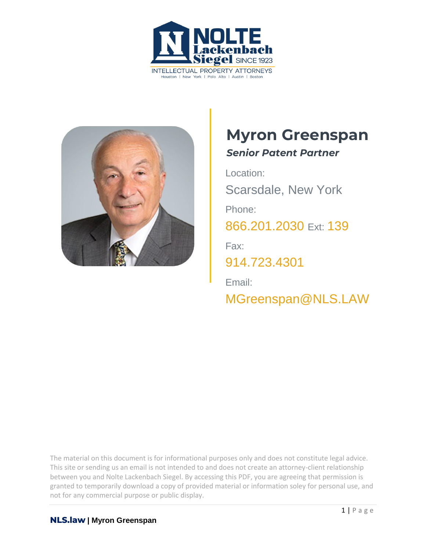



# **Myron Greenspan**

*Senior Patent Partner*

Location: Scarsdale, New York Phone: [866.201.2030](tel:+1942629223) Ext: 139 Fax: [914.723.4301](tel:+19147234301) Email: [MGreenspan@NLS.LAW](tel:+19147234301)

The material on this document is for informational purposes only and does not constitute legal advice. This site or sending us an email is not intended to and does not create an attorney-client relationship between you and Nolte Lackenbach Siegel. By accessing this PDF, you are agreeing that permission is granted to temporarily download a copy of provided material or information soley for personal use, and not for any commercial purpose or public display.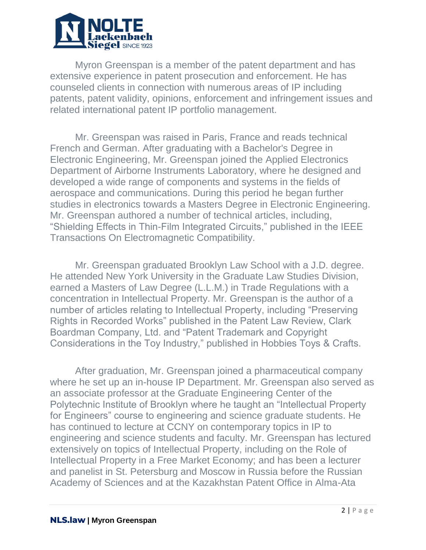

Myron Greenspan is a member of the patent department and has extensive experience in patent prosecution and enforcement. He has counseled clients in connection with numerous areas of IP including patents, patent validity, opinions, enforcement and infringement issues and related international patent IP portfolio management.

Mr. Greenspan was raised in Paris, France and reads technical French and German. After graduating with a Bachelor's Degree in Electronic Engineering, Mr. Greenspan joined the Applied Electronics Department of Airborne Instruments Laboratory, where he designed and developed a wide range of components and systems in the fields of aerospace and communications. During this period he began further studies in electronics towards a Masters Degree in Electronic Engineering. Mr. Greenspan authored a number of technical articles, including, "Shielding Effects in Thin-Film Integrated Circuits," published in the IEEE Transactions On Electromagnetic Compatibility.

Mr. Greenspan graduated Brooklyn Law School with a J.D. degree. He attended New York University in the Graduate Law Studies Division, earned a Masters of Law Degree (L.L.M.) in Trade Regulations with a concentration in Intellectual Property. Mr. Greenspan is the author of a number of articles relating to Intellectual Property, including "Preserving Rights in Recorded Works" published in the Patent Law Review, Clark Boardman Company, Ltd. and "Patent Trademark and Copyright Considerations in the Toy Industry," published in Hobbies Toys & Crafts.

After graduation, Mr. Greenspan joined a pharmaceutical company where he set up an in-house IP Department. Mr. Greenspan also served as an associate professor at the Graduate Engineering Center of the Polytechnic Institute of Brooklyn where he taught an "Intellectual Property for Engineers" course to engineering and science graduate students. He has continued to lecture at CCNY on contemporary topics in IP to engineering and science students and faculty. Mr. Greenspan has lectured extensively on topics of Intellectual Property, including on the Role of Intellectual Property in a Free Market Economy; and has been a lecturer and panelist in St. Petersburg and Moscow in Russia before the Russian Academy of Sciences and at the Kazakhstan Patent Office in Alma-Ata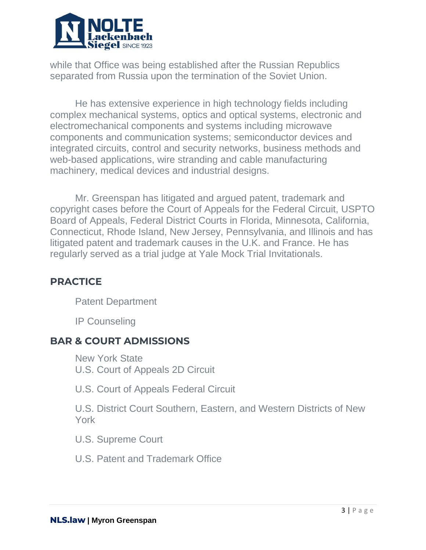

while that Office was being established after the Russian Republics separated from Russia upon the termination of the Soviet Union.

He has extensive experience in high technology fields including complex mechanical systems, optics and optical systems, electronic and electromechanical components and systems including microwave components and communication systems; semiconductor devices and integrated circuits, control and security networks, business methods and web-based applications, wire stranding and cable manufacturing machinery, medical devices and industrial designs.

Mr. Greenspan has litigated and argued patent, trademark and copyright cases before the Court of Appeals for the Federal Circuit, USPTO Board of Appeals, Federal District Courts in Florida, Minnesota, California, Connecticut, Rhode Island, New Jersey, Pennsylvania, and Illinois and has litigated patent and trademark causes in the U.K. and France. He has regularly served as a trial judge at Yale Mock Trial Invitationals.

# **PRACTICE**

Patent Department

IP Counseling

#### **BAR & COURT ADMISSIONS**

New York State U.S. Court of Appeals 2D Circuit

U.S. Court of Appeals Federal Circuit

U.S. District Court Southern, Eastern, and Western Districts of New York

U.S. Supreme Court

U.S. Patent and Trademark Office